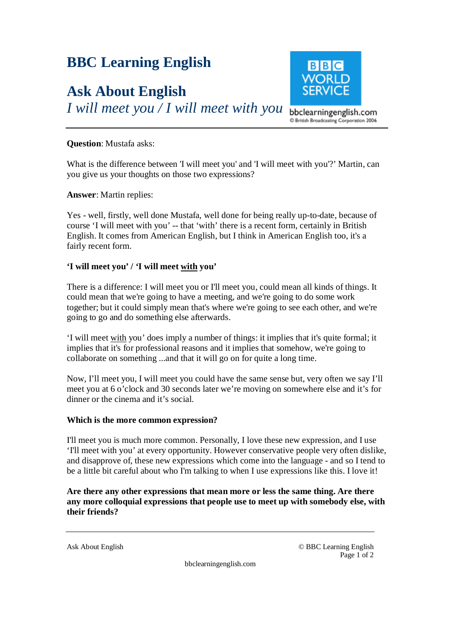# **BBC Learning English**

# **Ask About English**

*I will meet you / I will meet with you* 



C British Broadcasting Corporation 2006

### **Question**: Mustafa asks:

What is the difference between 'I will meet you' and 'I will meet with you'?' Martin, can you give us your thoughts on those two expressions?

### **Answer**: Martin replies:

Yes - well, firstly, well done Mustafa, well done for being really up-to-date, because of course 'I will meet with you' -- that 'with' there is a recent form, certainly in British English. It comes from American English, but I think in American English too, it's a fairly recent form.

## **'I will meet you' / 'I will meet with you'**

There is a difference: I will meet you or I'll meet you, could mean all kinds of things. It could mean that we're going to have a meeting, and we're going to do some work together; but it could simply mean that's where we're going to see each other, and we're going to go and do something else afterwards.

'I will meet with you' does imply a number of things: it implies that it's quite formal; it implies that it's for professional reasons and it implies that somehow, we're going to collaborate on something ...and that it will go on for quite a long time.

Now, I'll meet you, I will meet you could have the same sense but, very often we say I'll meet you at 6 o'clock and 30 seconds later we're moving on somewhere else and it's for dinner or the cinema and it's social.

#### **Which is the more common expression?**

I'll meet you is much more common. Personally, I love these new expression, and I use 'I'll meet with you' at every opportunity. However conservative people very often dislike, and disapprove of, these new expressions which come into the language - and so I tend to be a little bit careful about who I'm talking to when I use expressions like this. I love it!

**Are there any other expressions that mean more or less the same thing. Are there any more colloquial expressions that people use to meet up with somebody else, with their friends?** 

Ask About English © BBC Learning English Page 1 of 2

bbclearningenglish.com